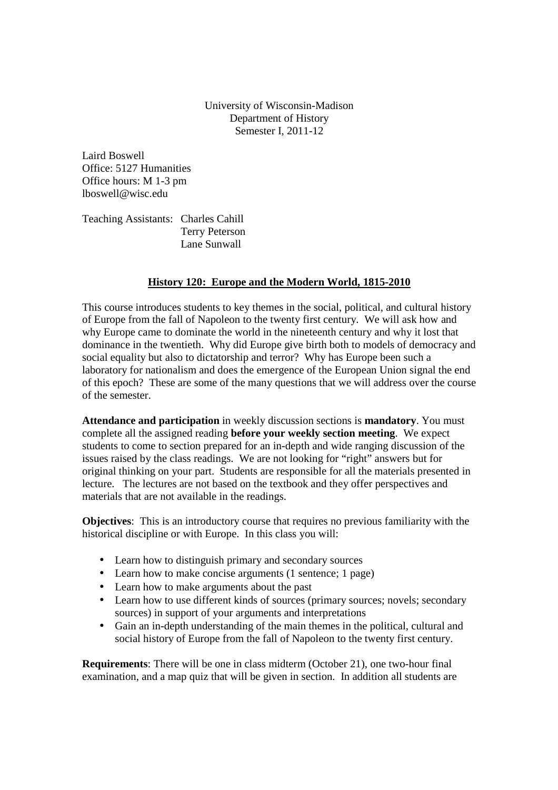University of Wisconsin-Madison Department of History Semester I, 2011-12

Laird Boswell Office: 5127 Humanities Office hours: M 1-3 pm lboswell@wisc.edu

Teaching Assistants: Charles Cahill Terry Peterson Lane Sunwall

# **History 120: Europe and the Modern World, 1815-2010**

This course introduces students to key themes in the social, political, and cultural history of Europe from the fall of Napoleon to the twenty first century. We will ask how and why Europe came to dominate the world in the nineteenth century and why it lost that dominance in the twentieth. Why did Europe give birth both to models of democracy and social equality but also to dictatorship and terror? Why has Europe been such a laboratory for nationalism and does the emergence of the European Union signal the end of this epoch? These are some of the many questions that we will address over the course of the semester.

**Attendance and participation** in weekly discussion sections is **mandatory**. You must complete all the assigned reading **before your weekly section meeting**. We expect students to come to section prepared for an in-depth and wide ranging discussion of the issues raised by the class readings. We are not looking for "right" answers but for original thinking on your part. Students are responsible for all the materials presented in lecture. The lectures are not based on the textbook and they offer perspectives and materials that are not available in the readings.

**Objectives**: This is an introductory course that requires no previous familiarity with the historical discipline or with Europe. In this class you will:

- Learn how to distinguish primary and secondary sources
- Learn how to make concise arguments (1 sentence: 1 page)
- Learn how to make arguments about the past
- Learn how to use different kinds of sources (primary sources; novels; secondary sources) in support of your arguments and interpretations
- Gain an in-depth understanding of the main themes in the political, cultural and social history of Europe from the fall of Napoleon to the twenty first century.

**Requirements**: There will be one in class midterm (October 21), one two-hour final examination, and a map quiz that will be given in section. In addition all students are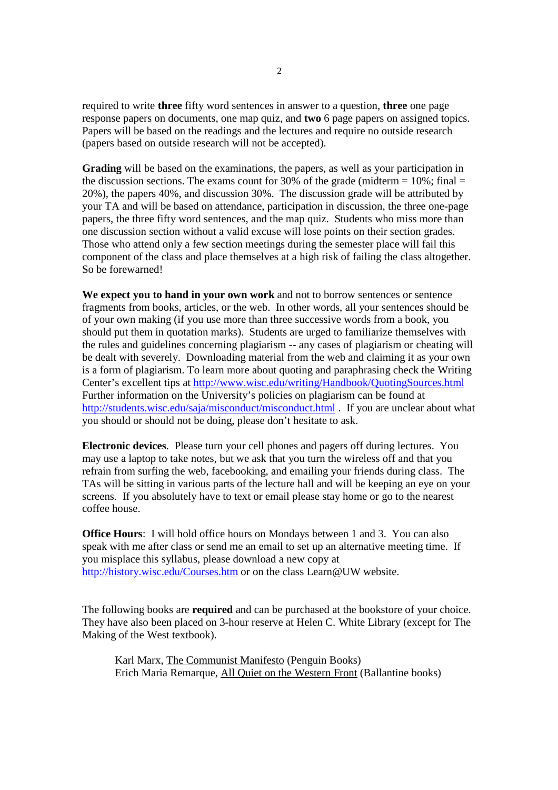required to write **three** fifty word sentences in answer to a question, **three** one page response papers on documents, one map quiz, and **two** 6 page papers on assigned topics. Papers will be based on the readings and the lectures and require no outside research (papers based on outside research will not be accepted).

**Grading** will be based on the examinations, the papers, as well as your participation in the discussion sections. The exams count for 30% of the grade (midterm  $= 10\%$ ; final  $=$ 20%), the papers 40%, and discussion 30%. The discussion grade will be attributed by your TA and will be based on attendance, participation in discussion, the three one-page papers, the three fifty word sentences, and the map quiz. Students who miss more than one discussion section without a valid excuse will lose points on their section grades. Those who attend only a few section meetings during the semester place will fail this component of the class and place themselves at a high risk of failing the class altogether. So be forewarned!

**We expect you to hand in your own work** and not to borrow sentences or sentence fragments from books, articles, or the web. In other words, all your sentences should be of your own making (if you use more than three successive words from a book, you should put them in quotation marks). Students are urged to familiarize themselves with the rules and guidelines concerning plagiarism -- any cases of plagiarism or cheating will be dealt with severely. Downloading material from the web and claiming it as your own is a form of plagiarism. To learn more about quoting and paraphrasing check the Writing Center's excellent tips at http://www.wisc.edu/writing/Handbook/QuotingSources.html Further information on the University's policies on plagiarism can be found at http://students.wisc.edu/saja/misconduct/misconduct.html . If you are unclear about what you should or should not be doing, please don't hesitate to ask.

**Electronic devices**. Please turn your cell phones and pagers off during lectures. You may use a laptop to take notes, but we ask that you turn the wireless off and that you refrain from surfing the web, facebooking, and emailing your friends during class. The TAs will be sitting in various parts of the lecture hall and will be keeping an eye on your screens. If you absolutely have to text or email please stay home or go to the nearest coffee house.

**Office Hours**: I will hold office hours on Mondays between 1 and 3. You can also speak with me after class or send me an email to set up an alternative meeting time. If you misplace this syllabus, please download a new copy at http://history.wisc.edu/Courses.htm or on the class Learn@UW website.

The following books are **required** and can be purchased at the bookstore of your choice. They have also been placed on 3-hour reserve at Helen C. White Library (except for The Making of the West textbook).

Karl Marx, The Communist Manifesto (Penguin Books) Erich Maria Remarque, All Quiet on the Western Front (Ballantine books)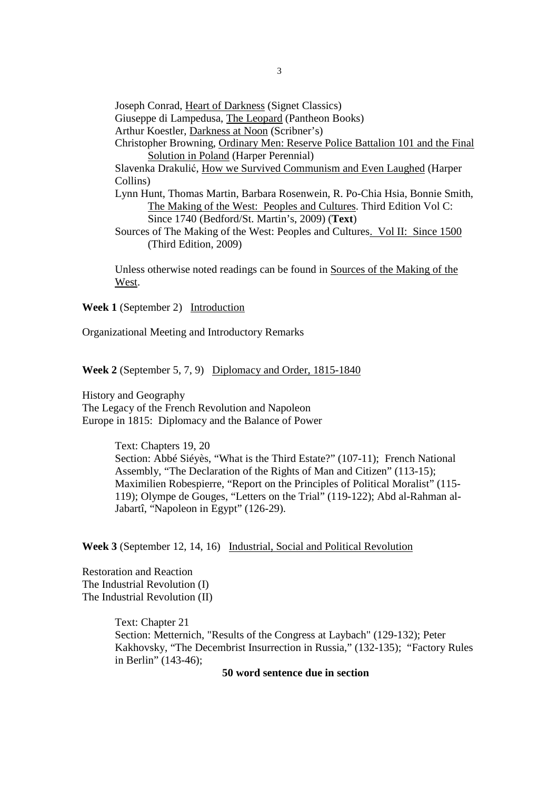Joseph Conrad, Heart of Darkness (Signet Classics) Giuseppe di Lampedusa, The Leopard (Pantheon Books) Arthur Koestler, Darkness at Noon (Scribner's) Christopher Browning, Ordinary Men: Reserve Police Battalion 101 and the Final Solution in Poland (Harper Perennial) Slavenka Drakulić, How we Survived Communism and Even Laughed (Harper Collins) Lynn Hunt, Thomas Martin, Barbara Rosenwein, R. Po-Chia Hsia, Bonnie Smith, The Making of the West: Peoples and Cultures. Third Edition Vol C: Since 1740 (Bedford/St. Martin's, 2009) (**Text**) Sources of The Making of the West: Peoples and Cultures. Vol II: Since 1500 (Third Edition, 2009)

Unless otherwise noted readings can be found in Sources of the Making of the West.

**Week 1** (September 2) Introduction

Organizational Meeting and Introductory Remarks

**Week 2** (September 5, 7, 9) Diplomacy and Order, 1815-1840

History and Geography The Legacy of the French Revolution and Napoleon Europe in 1815: Diplomacy and the Balance of Power

> Text: Chapters 19, 20 Section: Abbé Siéyès, "What is the Third Estate?" (107-11); French National Assembly, "The Declaration of the Rights of Man and Citizen" (113-15); Maximilien Robespierre, "Report on the Principles of Political Moralist" (115- 119); Olympe de Gouges, "Letters on the Trial" (119-122); Abd al-Rahman al-Jabartî, "Napoleon in Egypt" (126-29).

**Week 3** (September 12, 14, 16) Industrial, Social and Political Revolution

Restoration and Reaction The Industrial Revolution (I) The Industrial Revolution (II)

> Text: Chapter 21 Section: Metternich, "Results of the Congress at Laybach" (129-132); Peter Kakhovsky, "The Decembrist Insurrection in Russia," (132-135); "Factory Rules in Berlin" (143-46);

> > **50 word sentence due in section**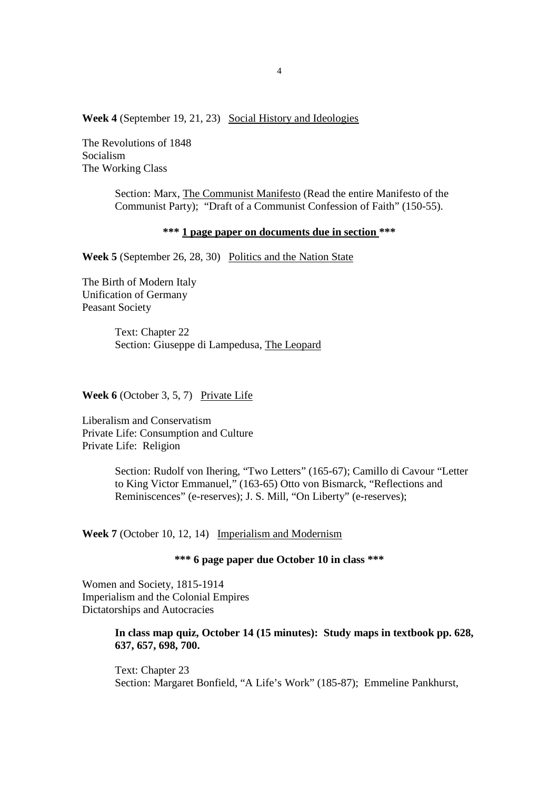**Week 4** (September 19, 21, 23) Social History and Ideologies

The Revolutions of 1848 Socialism The Working Class

> Section: Marx, The Communist Manifesto (Read the entire Manifesto of the Communist Party); "Draft of a Communist Confession of Faith" (150-55).

### **\*\*\* 1 page paper on documents due in section \*\*\***

**Week 5** (September 26, 28, 30) Politics and the Nation State

The Birth of Modern Italy Unification of Germany Peasant Society

> Text: Chapter 22 Section: Giuseppe di Lampedusa, The Leopard

**Week 6** (October 3, 5, 7) Private Life

Liberalism and Conservatism Private Life: Consumption and Culture Private Life: Religion

> Section: Rudolf von Ihering, "Two Letters" (165-67); Camillo di Cavour "Letter to King Victor Emmanuel," (163-65) Otto von Bismarck, "Reflections and Reminiscences" (e-reserves); J. S. Mill, "On Liberty" (e-reserves);

**Week 7** (October 10, 12, 14) Imperialism and Modernism

**\*\*\* 6 page paper due October 10 in class \*\*\*** 

Women and Society, 1815-1914 Imperialism and the Colonial Empires Dictatorships and Autocracies

## **In class map quiz, October 14 (15 minutes): Study maps in textbook pp. 628, 637, 657, 698, 700.**

Text: Chapter 23 Section: Margaret Bonfield, "A Life's Work" (185-87); Emmeline Pankhurst,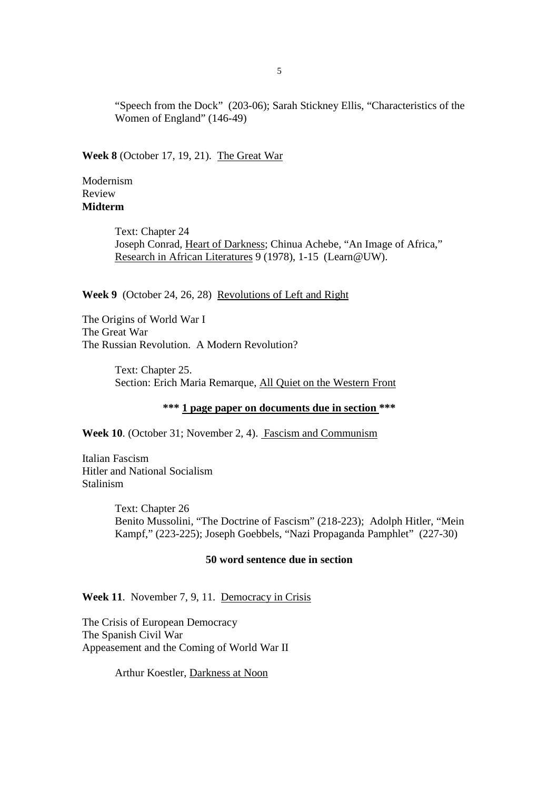"Speech from the Dock" (203-06); Sarah Stickney Ellis, "Characteristics of the Women of England" (146-49)

**Week 8** (October 17, 19, 21). The Great War

Modernism Review **Midterm** 

> Text: Chapter 24 Joseph Conrad, Heart of Darkness; Chinua Achebe, "An Image of Africa," Research in African Literatures 9 (1978), 1-15 (Learn@UW).

**Week 9** (October 24, 26, 28) Revolutions of Left and Right

The Origins of World War I The Great War The Russian Revolution. A Modern Revolution?

> Text: Chapter 25. Section: Erich Maria Remarque, All Quiet on the Western Front

> > **\*\*\* 1 page paper on documents due in section \*\*\***

**Week 10**. (October 31; November 2, 4). Fascism and Communism

Italian Fascism Hitler and National Socialism Stalinism

> Text: Chapter 26 Benito Mussolini, "The Doctrine of Fascism" (218-223); Adolph Hitler, "Mein Kampf," (223-225); Joseph Goebbels, "Nazi Propaganda Pamphlet" (227-30)

## **50 word sentence due in section**

Week 11. November 7, 9, 11. Democracy in Crisis

The Crisis of European Democracy The Spanish Civil War Appeasement and the Coming of World War II

Arthur Koestler, Darkness at Noon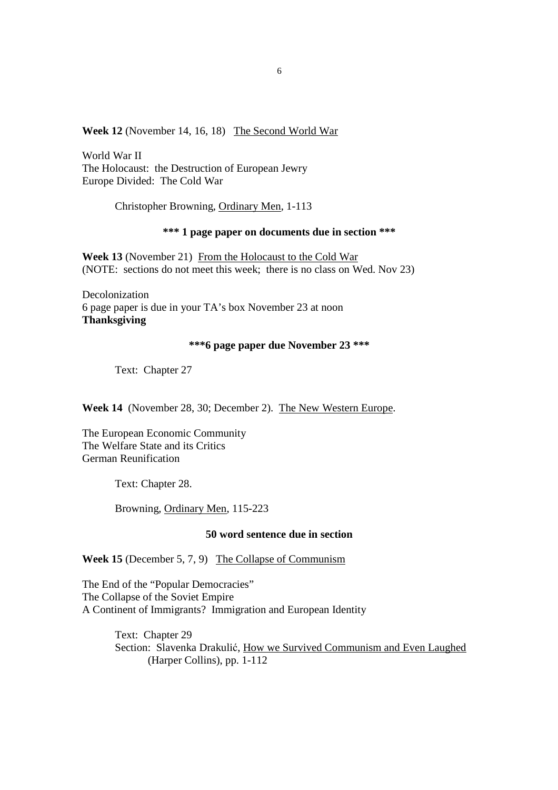## **Week 12** (November 14, 16, 18) The Second World War

World War II The Holocaust: the Destruction of European Jewry Europe Divided: The Cold War

Christopher Browning, Ordinary Men, 1-113

### **\*\*\* 1 page paper on documents due in section \*\*\***

**Week 13** (November 21) From the Holocaust to the Cold War (NOTE: sections do not meet this week; there is no class on Wed. Nov 23)

Decolonization 6 page paper is due in your TA's box November 23 at noon **Thanksgiving** 

### **\*\*\*6 page paper due November 23 \*\*\***

Text: Chapter 27

**Week 14** (November 28, 30; December 2). The New Western Europe.

The European Economic Community The Welfare State and its Critics German Reunification

Text: Chapter 28.

Browning, Ordinary Men, 115-223

#### **50 word sentence due in section**

**Week 15** (December 5, 7, 9) The Collapse of Communism

The End of the "Popular Democracies" The Collapse of the Soviet Empire A Continent of Immigrants? Immigration and European Identity

> Text: Chapter 29 Section: Slavenka Drakulić, How we Survived Communism and Even Laughed (Harper Collins), pp. 1-112